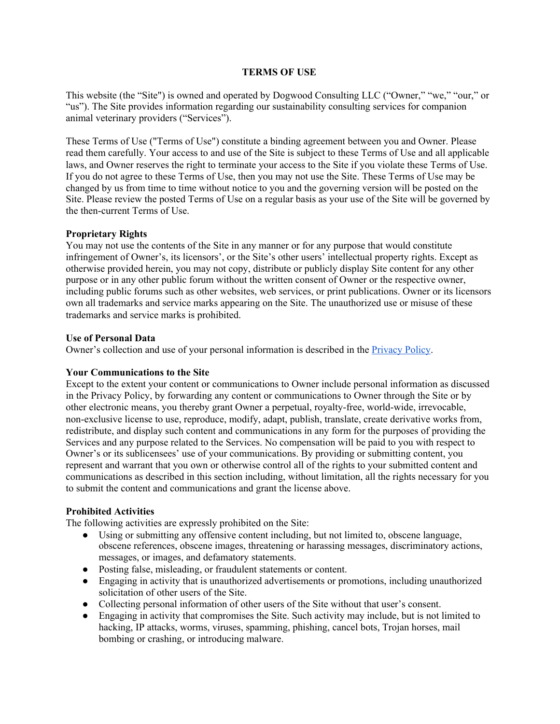### **TERMS OF USE**

This website (the "Site") is owned and operated by Dogwood Consulting LLC ("Owner," "we," "our," or "us"). The Site provides information regarding our sustainability consulting services for companion animal veterinary providers ("Services").

These Terms of Use ("Terms of Use") constitute a binding agreement between you and Owner. Please read them carefully. Your access to and use of the Site is subject to these Terms of Use and all applicable laws, and Owner reserves the right to terminate your access to the Site if you violate these Terms of Use. If you do not agree to these Terms of Use, then you may not use the Site. These Terms of Use may be changed by us from time to time without notice to you and the governing version will be posted on the Site. Please review the posted Terms of Use on a regular basis as your use of the Site will be governed by the then-current Terms of Use.

#### **Proprietary Rights**

You may not use the contents of the Site in any manner or for any purpose that would constitute infringement of Owner's, its licensors', or the Site's other users' intellectual property rights. Except as otherwise provided herein, you may not copy, distribute or publicly display Site content for any other purpose or in any other public forum without the written consent of Owner or the respective owner, including public forums such as other websites, web services, or print publications. Owner or its licensors own all trademarks and service marks appearing on the Site. The unauthorized use or misuse of these trademarks and service marks is prohibited.

#### **Use of Personal Data**

Owner's collection and use of your personal information is described in the [Privacy](https://docs.google.com/document/d/1TIPQmUV64rt6rmsJccV9sxuU2pvqnLDSDZamqku41N0/export?format=pdf) Policy.

### **Your Communications to the Site**

Except to the extent your content or communications to Owner include personal information as discussed in the Privacy Policy, by forwarding any content or communications to Owner through the Site or by other electronic means, you thereby grant Owner a perpetual, royalty-free, world-wide, irrevocable, non-exclusive license to use, reproduce, modify, adapt, publish, translate, create derivative works from, redistribute, and display such content and communications in any form for the purposes of providing the Services and any purpose related to the Services. No compensation will be paid to you with respect to Owner's or its sublicensees' use of your communications. By providing or submitting content, you represent and warrant that you own or otherwise control all of the rights to your submitted content and communications as described in this section including, without limitation, all the rights necessary for you to submit the content and communications and grant the license above.

# **Prohibited Activities**

The following activities are expressly prohibited on the Site:

- Using or submitting any offensive content including, but not limited to, obscene language, obscene references, obscene images, threatening or harassing messages, discriminatory actions, messages, or images, and defamatory statements.
- Posting false, misleading, or fraudulent statements or content.
- Engaging in activity that is unauthorized advertisements or promotions, including unauthorized solicitation of other users of the Site.
- Collecting personal information of other users of the Site without that user's consent.
- Engaging in activity that compromises the Site. Such activity may include, but is not limited to hacking, IP attacks, worms, viruses, spamming, phishing, cancel bots, Trojan horses, mail bombing or crashing, or introducing malware.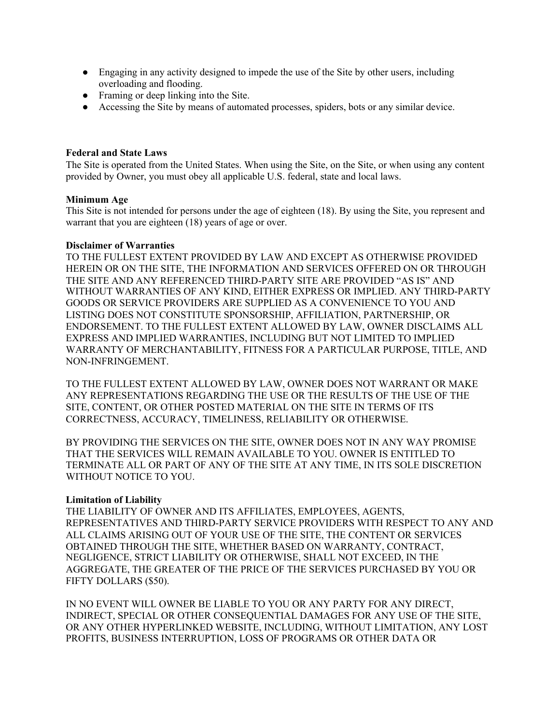- Engaging in any activity designed to impede the use of the Site by other users, including overloading and flooding.
- Framing or deep linking into the Site.
- Accessing the Site by means of automated processes, spiders, bots or any similar device.

# **Federal and State Laws**

The Site is operated from the United States. When using the Site, on the Site, or when using any content provided by Owner, you must obey all applicable U.S. federal, state and local laws.

#### **Minimum Age**

This Site is not intended for persons under the age of eighteen (18). By using the Site, you represent and warrant that you are eighteen (18) years of age or over.

#### **Disclaimer of Warranties**

TO THE FULLEST EXTENT PROVIDED BY LAW AND EXCEPT AS OTHERWISE PROVIDED HEREIN OR ON THE SITE, THE INFORMATION AND SERVICES OFFERED ON OR THROUGH THE SITE AND ANY REFERENCED THIRD-PARTY SITE ARE PROVIDED "AS IS" AND WITHOUT WARRANTIES OF ANY KIND, EITHER EXPRESS OR IMPLIED. ANY THIRD-PARTY GOODS OR SERVICE PROVIDERS ARE SUPPLIED AS A CONVENIENCE TO YOU AND LISTING DOES NOT CONSTITUTE SPONSORSHIP, AFFILIATION, PARTNERSHIP, OR ENDORSEMENT. TO THE FULLEST EXTENT ALLOWED BY LAW, OWNER DISCLAIMS ALL EXPRESS AND IMPLIED WARRANTIES, INCLUDING BUT NOT LIMITED TO IMPLIED WARRANTY OF MERCHANTABILITY, FITNESS FOR A PARTICULAR PURPOSE, TITLE, AND NON-INFRINGEMENT.

TO THE FULLEST EXTENT ALLOWED BY LAW, OWNER DOES NOT WARRANT OR MAKE ANY REPRESENTATIONS REGARDING THE USE OR THE RESULTS OF THE USE OF THE SITE, CONTENT, OR OTHER POSTED MATERIAL ON THE SITE IN TERMS OF ITS CORRECTNESS, ACCURACY, TIMELINESS, RELIABILITY OR OTHERWISE.

BY PROVIDING THE SERVICES ON THE SITE, OWNER DOES NOT IN ANY WAY PROMISE THAT THE SERVICES WILL REMAIN AVAILABLE TO YOU. OWNER IS ENTITLED TO TERMINATE ALL OR PART OF ANY OF THE SITE AT ANY TIME, IN ITS SOLE DISCRETION WITHOUT NOTICE TO YOU.

# **Limitation of Liability**

THE LIABILITY OF OWNER AND ITS AFFILIATES, EMPLOYEES, AGENTS, REPRESENTATIVES AND THIRD-PARTY SERVICE PROVIDERS WITH RESPECT TO ANY AND ALL CLAIMS ARISING OUT OF YOUR USE OF THE SITE, THE CONTENT OR SERVICES OBTAINED THROUGH THE SITE, WHETHER BASED ON WARRANTY, CONTRACT, NEGLIGENCE, STRICT LIABILITY OR OTHERWISE, SHALL NOT EXCEED, IN THE AGGREGATE, THE GREATER OF THE PRICE OF THE SERVICES PURCHASED BY YOU OR FIFTY DOLLARS (\$50).

IN NO EVENT WILL OWNER BE LIABLE TO YOU OR ANY PARTY FOR ANY DIRECT, INDIRECT, SPECIAL OR OTHER CONSEQUENTIAL DAMAGES FOR ANY USE OF THE SITE, OR ANY OTHER HYPERLINKED WEBSITE, INCLUDING, WITHOUT LIMITATION, ANY LOST PROFITS, BUSINESS INTERRUPTION, LOSS OF PROGRAMS OR OTHER DATA OR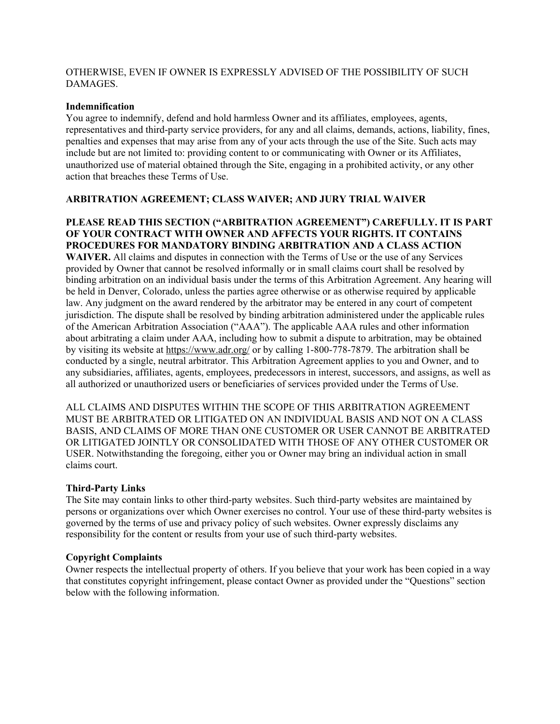OTHERWISE, EVEN IF OWNER IS EXPRESSLY ADVISED OF THE POSSIBILITY OF SUCH **DAMAGES** 

### **Indemnification**

You agree to indemnify, defend and hold harmless Owner and its affiliates, employees, agents, representatives and third-party service providers, for any and all claims, demands, actions, liability, fines, penalties and expenses that may arise from any of your acts through the use of the Site. Such acts may include but are not limited to: providing content to or communicating with Owner or its Affiliates, unauthorized use of material obtained through the Site, engaging in a prohibited activity, or any other action that breaches these Terms of Use.

# **ARBITRATION AGREEMENT; CLASS WAIVER; AND JURY TRIAL WAIVER**

# **PLEASE READ THIS SECTION ("ARBITRATION AGREEMENT") CAREFULLY. IT IS PART OF YOUR CONTRACT WITH OWNER AND AFFECTS YOUR RIGHTS. IT CONTAINS PROCEDURES FOR MANDATORY BINDING ARBITRATION AND A CLASS ACTION**

**WAIVER.** All claims and disputes in connection with the Terms of Use or the use of any Services provided by Owner that cannot be resolved informally or in small claims court shall be resolved by binding arbitration on an individual basis under the terms of this Arbitration Agreement. Any hearing will be held in Denver, Colorado, unless the parties agree otherwise or as otherwise required by applicable law. Any judgment on the award rendered by the arbitrator may be entered in any court of competent jurisdiction. The dispute shall be resolved by binding arbitration administered under the applicable rules of the American Arbitration Association ("AAA"). The applicable AAA rules and other information about arbitrating a claim under AAA, including how to submit a dispute to arbitration, may be obtained by visiting its website at <https://www.adr.org/> or by calling 1-800-778-7879. The arbitration shall be conducted by a single, neutral arbitrator. This Arbitration Agreement applies to you and Owner, and to any subsidiaries, affiliates, agents, employees, predecessors in interest, successors, and assigns, as well as all authorized or unauthorized users or beneficiaries of services provided under the Terms of Use.

ALL CLAIMS AND DISPUTES WITHIN THE SCOPE OF THIS ARBITRATION AGREEMENT MUST BE ARBITRATED OR LITIGATED ON AN INDIVIDUAL BASIS AND NOT ON A CLASS BASIS, AND CLAIMS OF MORE THAN ONE CUSTOMER OR USER CANNOT BE ARBITRATED OR LITIGATED JOINTLY OR CONSOLIDATED WITH THOSE OF ANY OTHER CUSTOMER OR USER. Notwithstanding the foregoing, either you or Owner may bring an individual action in small claims court.

# **Third-Party Links**

The Site may contain links to other third-party websites. Such third-party websites are maintained by persons or organizations over which Owner exercises no control. Your use of these third-party websites is governed by the terms of use and privacy policy of such websites. Owner expressly disclaims any responsibility for the content or results from your use of such third-party websites.

# **Copyright Complaints**

Owner respects the intellectual property of others. If you believe that your work has been copied in a way that constitutes copyright infringement, please contact Owner as provided under the "Questions" section below with the following information.